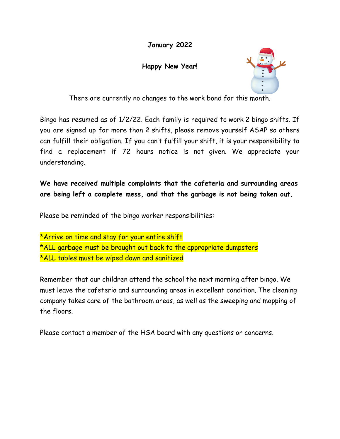## **January 2022**

## **Happy New Year!**



There are currently no changes to the work bond for this month.

Bingo has resumed as of 1/2/22. Each family is required to work 2 bingo shifts. If you are signed up for more than 2 shifts, please remove yourself ASAP so others can fulfill their obligation. If you can't fulfill your shift, it is your responsibility to find a replacement if 72 hours notice is not given. We appreciate your understanding.

## **We have received multiple complaints that the cafeteria and surrounding areas are being left a complete mess, and that the garbage is not being taken out.**

Please be reminded of the bingo worker responsibilities:

\*Arrive on time and stay for your entire shift \*ALL garbage must be brought out back to the appropriate dumpsters \*ALL tables must be wiped down and sanitized

Remember that our children attend the school the next morning after bingo. We must leave the cafeteria and surrounding areas in excellent condition. The cleaning company takes care of the bathroom areas, as well as the sweeping and mopping of the floors.

Please contact a member of the HSA board with any questions or concerns.